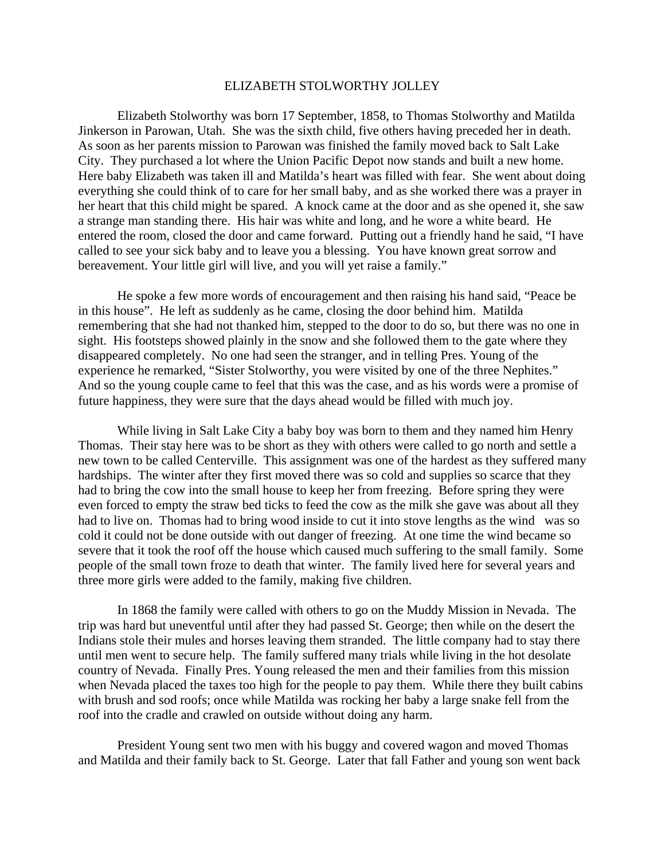## ELIZABETH STOLWORTHY JOLLEY

Elizabeth Stolworthy was born 17 September, 1858, to Thomas Stolworthy and Matilda Jinkerson in Parowan, Utah. She was the sixth child, five others having preceded her in death. As soon as her parents mission to Parowan was finished the family moved back to Salt Lake City. They purchased a lot where the Union Pacific Depot now stands and built a new home. Here baby Elizabeth was taken ill and Matilda's heart was filled with fear. She went about doing everything she could think of to care for her small baby, and as she worked there was a prayer in her heart that this child might be spared. A knock came at the door and as she opened it, she saw a strange man standing there. His hair was white and long, and he wore a white beard. He entered the room, closed the door and came forward. Putting out a friendly hand he said, "I have called to see your sick baby and to leave you a blessing. You have known great sorrow and bereavement. Your little girl will live, and you will yet raise a family."

He spoke a few more words of encouragement and then raising his hand said, "Peace be in this house". He left as suddenly as he came, closing the door behind him. Matilda remembering that she had not thanked him, stepped to the door to do so, but there was no one in sight. His footsteps showed plainly in the snow and she followed them to the gate where they disappeared completely. No one had seen the stranger, and in telling Pres. Young of the experience he remarked, "Sister Stolworthy, you were visited by one of the three Nephites." And so the young couple came to feel that this was the case, and as his words were a promise of future happiness, they were sure that the days ahead would be filled with much joy.

While living in Salt Lake City a baby boy was born to them and they named him Henry Thomas. Their stay here was to be short as they with others were called to go north and settle a new town to be called Centerville. This assignment was one of the hardest as they suffered many hardships. The winter after they first moved there was so cold and supplies so scarce that they had to bring the cow into the small house to keep her from freezing. Before spring they were even forced to empty the straw bed ticks to feed the cow as the milk she gave was about all they had to live on. Thomas had to bring wood inside to cut it into stove lengths as the wind was so cold it could not be done outside with out danger of freezing. At one time the wind became so severe that it took the roof off the house which caused much suffering to the small family. Some people of the small town froze to death that winter. The family lived here for several years and three more girls were added to the family, making five children.

In 1868 the family were called with others to go on the Muddy Mission in Nevada. The trip was hard but uneventful until after they had passed St. George; then while on the desert the Indians stole their mules and horses leaving them stranded. The little company had to stay there until men went to secure help. The family suffered many trials while living in the hot desolate country of Nevada. Finally Pres. Young released the men and their families from this mission when Nevada placed the taxes too high for the people to pay them. While there they built cabins with brush and sod roofs; once while Matilda was rocking her baby a large snake fell from the roof into the cradle and crawled on outside without doing any harm.

President Young sent two men with his buggy and covered wagon and moved Thomas and Matilda and their family back to St. George. Later that fall Father and young son went back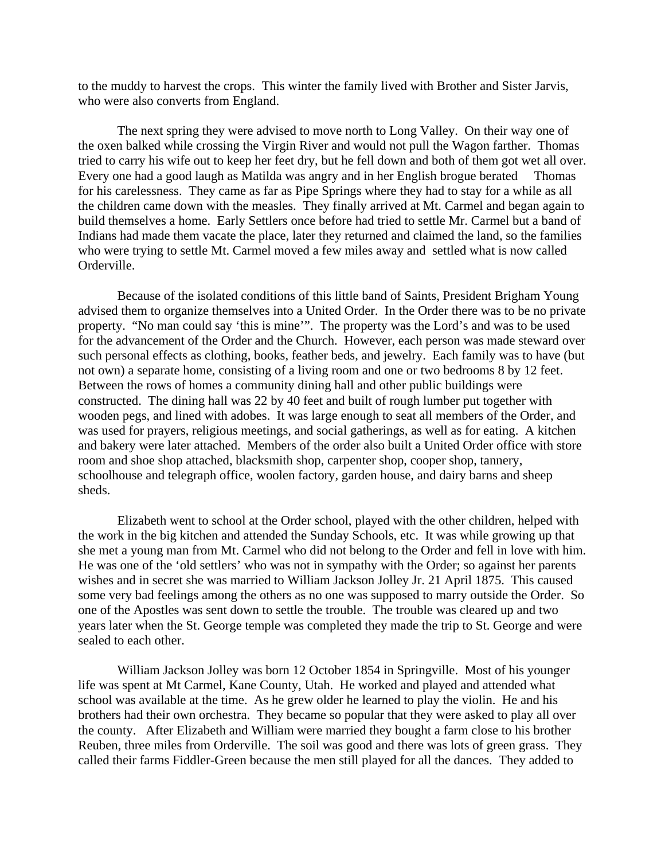to the muddy to harvest the crops. This winter the family lived with Brother and Sister Jarvis, who were also converts from England.

The next spring they were advised to move north to Long Valley. On their way one of the oxen balked while crossing the Virgin River and would not pull the Wagon farther. Thomas tried to carry his wife out to keep her feet dry, but he fell down and both of them got wet all over. Every one had a good laugh as Matilda was angry and in her English brogue berated Thomas for his carelessness. They came as far as Pipe Springs where they had to stay for a while as all the children came down with the measles. They finally arrived at Mt. Carmel and began again to build themselves a home. Early Settlers once before had tried to settle Mr. Carmel but a band of Indians had made them vacate the place, later they returned and claimed the land, so the families who were trying to settle Mt. Carmel moved a few miles away and settled what is now called Orderville.

Because of the isolated conditions of this little band of Saints, President Brigham Young advised them to organize themselves into a United Order. In the Order there was to be no private property. "No man could say 'this is mine'". The property was the Lord's and was to be used for the advancement of the Order and the Church. However, each person was made steward over such personal effects as clothing, books, feather beds, and jewelry. Each family was to have (but not own) a separate home, consisting of a living room and one or two bedrooms 8 by 12 feet. Between the rows of homes a community dining hall and other public buildings were constructed. The dining hall was 22 by 40 feet and built of rough lumber put together with wooden pegs, and lined with adobes. It was large enough to seat all members of the Order, and was used for prayers, religious meetings, and social gatherings, as well as for eating. A kitchen and bakery were later attached. Members of the order also built a United Order office with store room and shoe shop attached, blacksmith shop, carpenter shop, cooper shop, tannery, schoolhouse and telegraph office, woolen factory, garden house, and dairy barns and sheep sheds.

Elizabeth went to school at the Order school, played with the other children, helped with the work in the big kitchen and attended the Sunday Schools, etc. It was while growing up that she met a young man from Mt. Carmel who did not belong to the Order and fell in love with him. He was one of the 'old settlers' who was not in sympathy with the Order; so against her parents wishes and in secret she was married to William Jackson Jolley Jr. 21 April 1875. This caused some very bad feelings among the others as no one was supposed to marry outside the Order. So one of the Apostles was sent down to settle the trouble. The trouble was cleared up and two years later when the St. George temple was completed they made the trip to St. George and were sealed to each other.

William Jackson Jolley was born 12 October 1854 in Springville. Most of his younger life was spent at Mt Carmel, Kane County, Utah. He worked and played and attended what school was available at the time. As he grew older he learned to play the violin. He and his brothers had their own orchestra. They became so popular that they were asked to play all over the county. After Elizabeth and William were married they bought a farm close to his brother Reuben, three miles from Orderville. The soil was good and there was lots of green grass. They called their farms Fiddler-Green because the men still played for all the dances. They added to